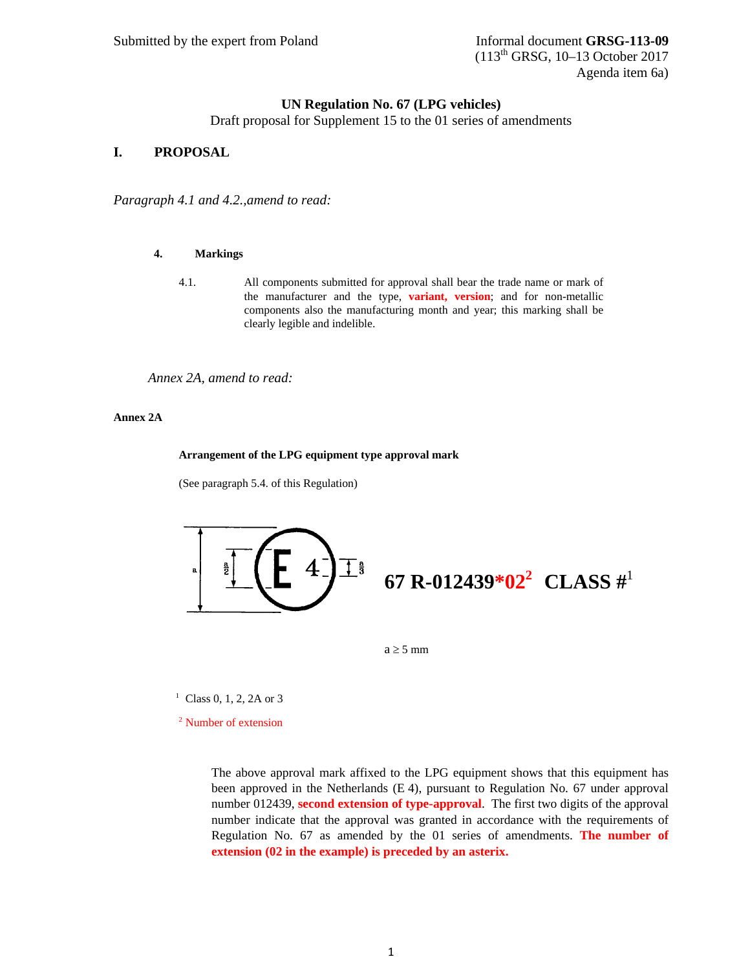# **UN Regulation No. 67 (LPG vehicles)**

Draft proposal for Supplement 15 to the 01 series of amendments

# **I. PROPOSAL**

*Paragraph 4.1 and 4.2.,amend to read:* 

#### **4. Markings**

4.1. All components submitted for approval shall bear the trade name or mark of the manufacturer and the type, **variant, version**; and for non-metallic components also the manufacturing month and year; this marking shall be clearly legible and indelible.

*Annex 2A, amend to read:* 

#### **Annex 2A**

#### **Arrangement of the LPG equipment type approval mark**

(See paragraph 5.4. of this Regulation)



 $a \geq 5$  mm

<sup>1</sup> Class 0, 1, 2, 2A or 3

2 Number of extension

The above approval mark affixed to the LPG equipment shows that this equipment has been approved in the Netherlands (E 4), pursuant to Regulation No. 67 under approval number 012439, **second extension of type-approval**. The first two digits of the approval number indicate that the approval was granted in accordance with the requirements of Regulation No. 67 as amended by the 01 series of amendments. **The number of extension (02 in the example) is preceded by an asterix.**